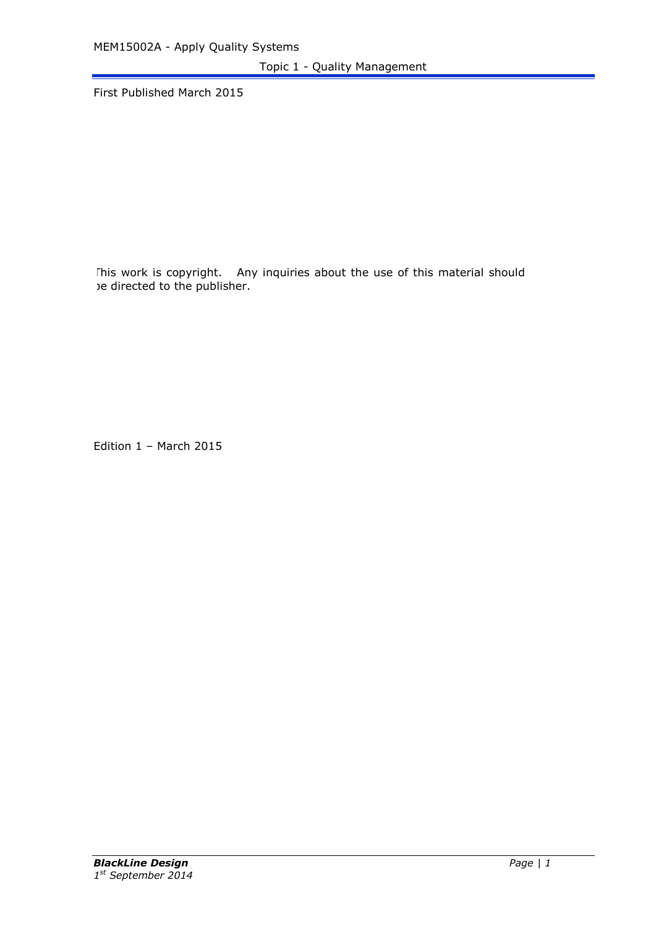Topic 1 - Quality Management

First Published March 2015

This work is copyright. Any inquiries about the use of this material should be directed to the publisher.

Edition 1 – March 2015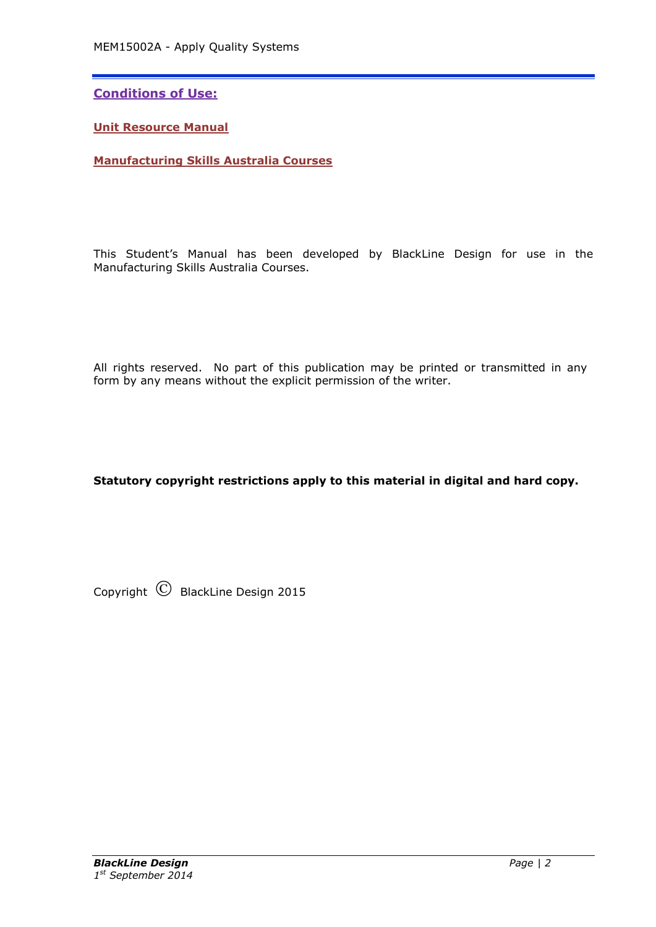**Conditions of Use:**

**Unit Resource Manual**

**Manufacturing Skills Australia Courses**

This Student's Manual has been developed by BlackLine Design for use in the Manufacturing Skills Australia Courses.

All rights reserved. No part of this publication may be printed or transmitted in any form by any means without the explicit permission of the writer.

**Statutory copyright restrictions apply to this material in digital and hard copy.**

Copyright  $\circled{C}$  BlackLine Design 2015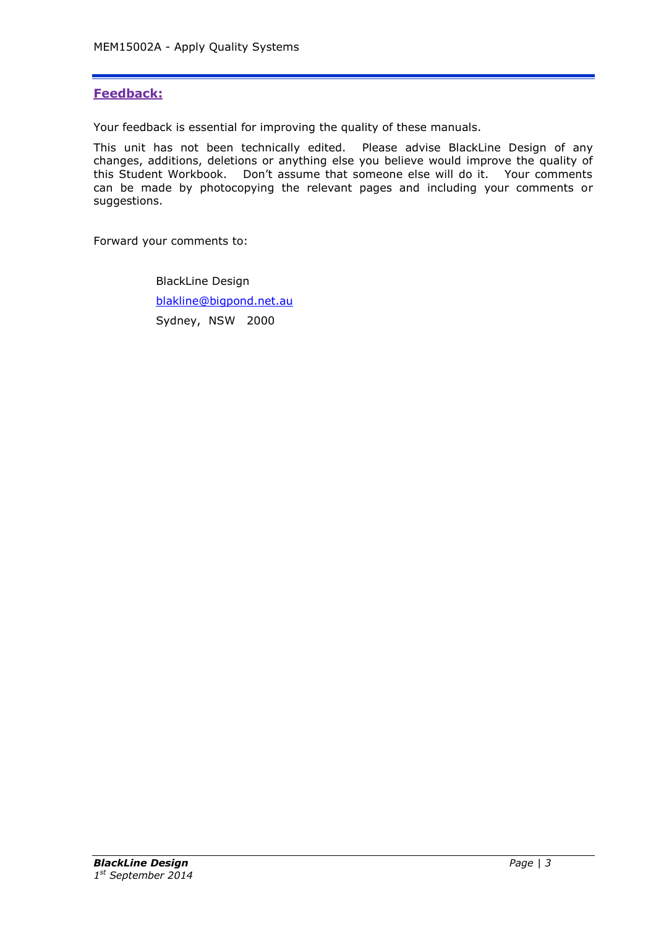# **Feedback:**

Your feedback is essential for improving the quality of these manuals.

This unit has not been technically edited. Please advise BlackLine Design of any changes, additions, deletions or anything else you believe would improve the quality of this Student Workbook. Don't assume that someone else will do it. Your comments can be made by photocopying the relevant pages and including your comments or suggestions.

Forward your comments to:

BlackLine Design [blakline@bigpond.net.au](mailto:blakline@bigpond.net.au) Sydney, NSW 2000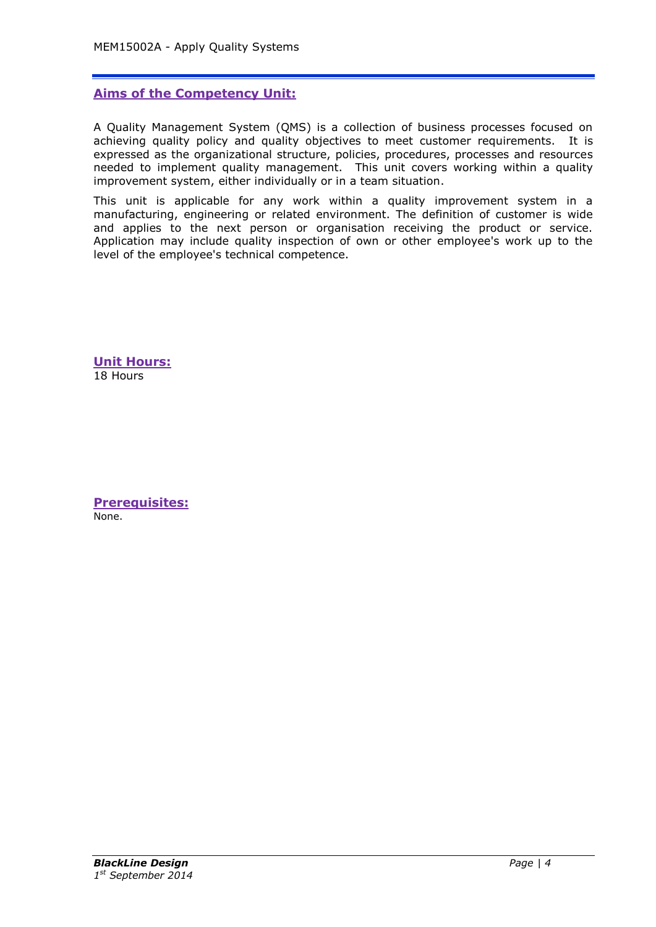# **Aims of the Competency Unit:**

A Quality Management System (QMS) is a collection of business processes focused on achieving quality policy and quality objectives to meet customer requirements. It is expressed as the organizational structure, policies, procedures, processes and resources needed to implement quality management. This unit covers working within a quality improvement system, either individually or in a team situation.

This unit is applicable for any work within a quality improvement system in a manufacturing, engineering or related environment. The definition of customer is wide and applies to the next person or organisation receiving the product or service. Application may include quality inspection of own or other employee's work up to the level of the employee's technical competence.

**Unit Hours:** 18 Hours

**Prerequisites:** None.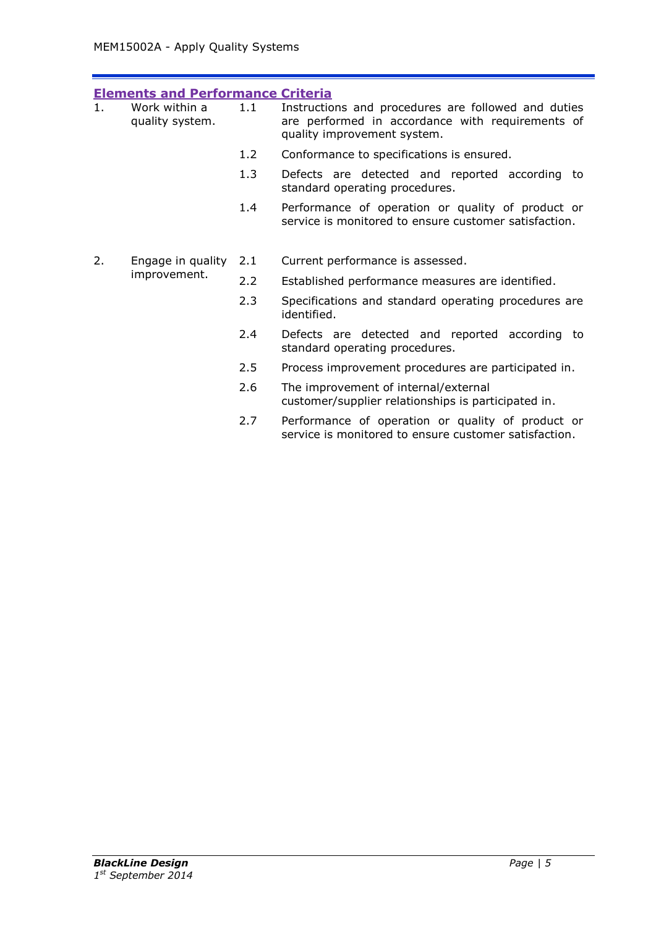| <b>Elements and Performance Criteria</b> |                                   |     |                                                                                                                                        |  |  |  |
|------------------------------------------|-----------------------------------|-----|----------------------------------------------------------------------------------------------------------------------------------------|--|--|--|
| 1.                                       | Work within a<br>quality system.  | 1.1 | Instructions and procedures are followed and duties<br>are performed in accordance with requirements of<br>quality improvement system. |  |  |  |
|                                          |                                   | 1.2 | Conformance to specifications is ensured.                                                                                              |  |  |  |
|                                          |                                   | 1.3 | Defects are detected and reported according to<br>standard operating procedures.                                                       |  |  |  |
|                                          |                                   | 1.4 | Performance of operation or quality of product or<br>service is monitored to ensure customer satisfaction.                             |  |  |  |
| 2.                                       | Engage in quality<br>improvement. | 2.1 | Current performance is assessed.                                                                                                       |  |  |  |
|                                          |                                   | 2.2 | Established performance measures are identified.                                                                                       |  |  |  |
|                                          |                                   | 2.3 | Specifications and standard operating procedures are<br>identified.                                                                    |  |  |  |
|                                          |                                   | 2.4 | Defects are detected and reported according to<br>standard operating procedures.                                                       |  |  |  |
|                                          |                                   | 2.5 | Process improvement procedures are participated in.                                                                                    |  |  |  |
|                                          |                                   | 2.6 | The improvement of internal/external<br>customer/supplier relationships is participated in.                                            |  |  |  |
|                                          |                                   | 2.7 | Performance of operation or quality of product or<br>service is monitored to ensure customer satisfaction.                             |  |  |  |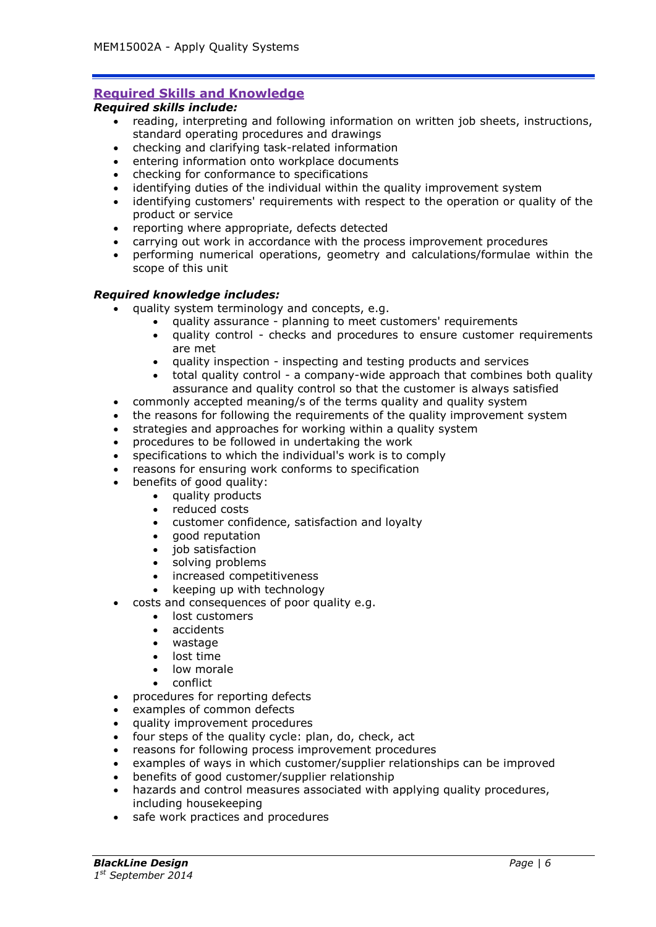# **Required Skills and Knowledge**

## *Required skills include:*

- reading, interpreting and following information on written job sheets, instructions, standard operating procedures and drawings
- checking and clarifying task-related information
- entering information onto workplace documents
- checking for conformance to specifications
- identifying duties of the individual within the quality improvement system
- identifying customers' requirements with respect to the operation or quality of the product or service
- reporting where appropriate, defects detected
- carrying out work in accordance with the process improvement procedures
- performing numerical operations, geometry and calculations/formulae within the scope of this unit

#### *Required knowledge includes:*

- quality system terminology and concepts, e.g.
	- quality assurance planning to meet customers' requirements
		- quality control checks and procedures to ensure customer requirements are met
		- quality inspection inspecting and testing products and services
	- total quality control a company-wide approach that combines both quality assurance and quality control so that the customer is always satisfied
- commonly accepted meaning/s of the terms quality and quality system
- the reasons for following the requirements of the quality improvement system
- strategies and approaches for working within a quality system
- procedures to be followed in undertaking the work
- specifications to which the individual's work is to comply
- reasons for ensuring work conforms to specification
- benefits of good quality:
	- quality products
		- reduced costs
		- customer confidence, satisfaction and loyalty
		- good reputation
		- $\bullet$  iob satisfaction
		- solving problems
		- increased competitiveness
		- keeping up with technology
- costs and consequences of poor quality e.g.
	- lost customers
	- accidents
	- wastage
	- lost time
	- low morale
	- conflict
- procedures for reporting defects
- examples of common defects
- quality improvement procedures
- four steps of the quality cycle: plan, do, check, act
- reasons for following process improvement procedures
- examples of ways in which customer/supplier relationships can be improved
- benefits of good customer/supplier relationship
- hazards and control measures associated with applying quality procedures, including housekeeping
- safe work practices and procedures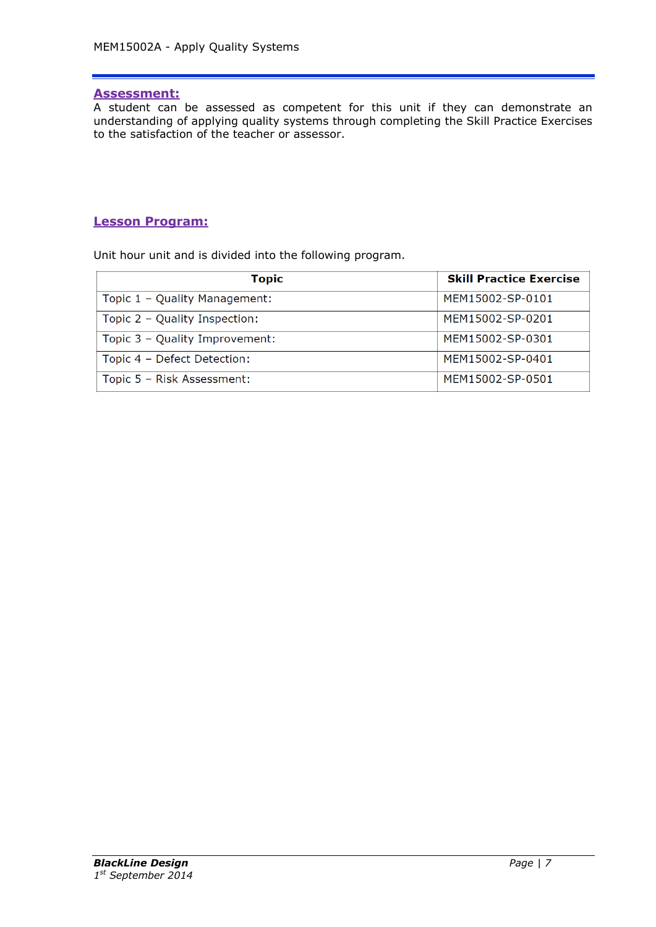## **Assessment:**

A student can be assessed as competent for this unit if they can demonstrate an understanding of applying quality systems through completing the Skill Practice Exercises to the satisfaction of the teacher or assessor.

# **Lesson Program:**

Unit hour unit and is divided into the following program.

| <b>Topic</b>                   | <b>Skill Practice Exercise</b> |
|--------------------------------|--------------------------------|
| Topic 1 - Quality Management:  | MFM15002-SP-0101               |
| Topic 2 - Quality Inspection:  | MEM15002-SP-0201               |
| Topic 3 - Quality Improvement: | MEM15002-SP-0301               |
| Topic 4 - Defect Detection:    | MFM15002-SP-0401               |
| Topic 5 - Risk Assessment:     | MEM15002-SP-0501               |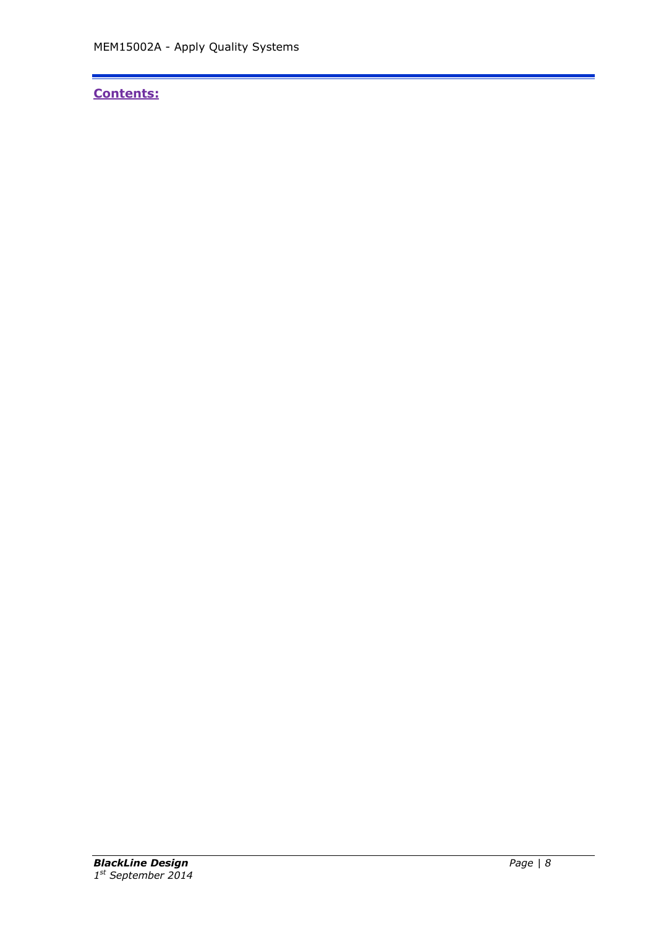# **Contents:**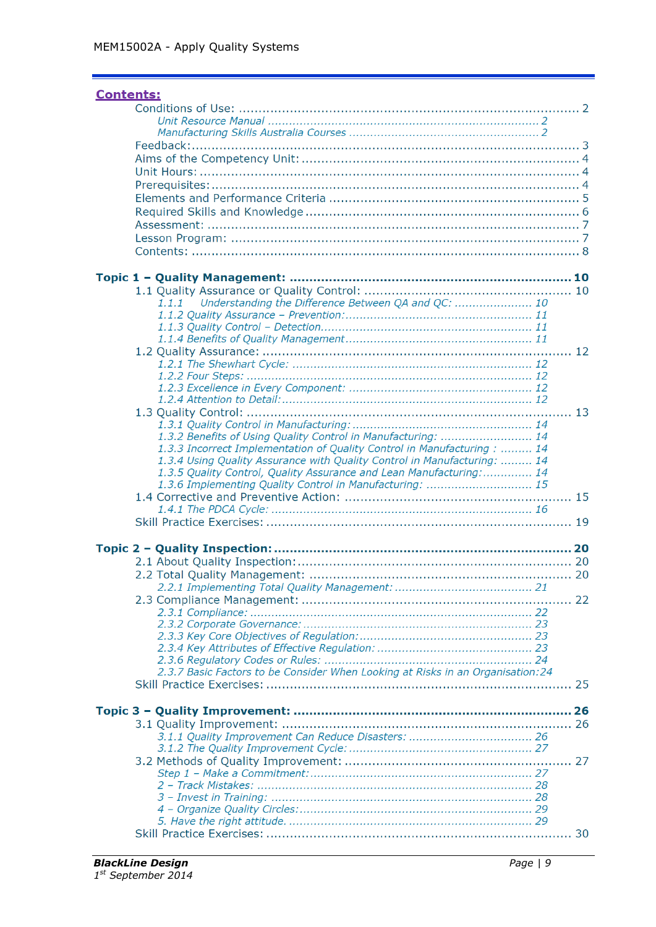| <b>Contents:</b>                                                                |  |
|---------------------------------------------------------------------------------|--|
|                                                                                 |  |
|                                                                                 |  |
|                                                                                 |  |
|                                                                                 |  |
|                                                                                 |  |
|                                                                                 |  |
|                                                                                 |  |
|                                                                                 |  |
|                                                                                 |  |
|                                                                                 |  |
|                                                                                 |  |
|                                                                                 |  |
|                                                                                 |  |
|                                                                                 |  |
| Understanding the Difference Between QA and QC:  10<br>1.1.1                    |  |
|                                                                                 |  |
|                                                                                 |  |
|                                                                                 |  |
|                                                                                 |  |
|                                                                                 |  |
|                                                                                 |  |
|                                                                                 |  |
|                                                                                 |  |
|                                                                                 |  |
| 1.3.2 Benefits of Using Quality Control in Manufacturing:  14                   |  |
| 1.3.3 Incorrect Implementation of Quality Control in Manufacturing :  14        |  |
| 1.3.4 Using Quality Assurance with Quality Control in Manufacturing:  14        |  |
| 1.3.5 Quality Control, Quality Assurance and Lean Manufacturing:  14            |  |
| 1.3.6 Implementing Quality Control in Manufacturing:  15                        |  |
|                                                                                 |  |
|                                                                                 |  |
|                                                                                 |  |
|                                                                                 |  |
|                                                                                 |  |
|                                                                                 |  |
|                                                                                 |  |
|                                                                                 |  |
|                                                                                 |  |
|                                                                                 |  |
|                                                                                 |  |
|                                                                                 |  |
|                                                                                 |  |
| 2.3.7 Basic Factors to be Consider When Looking at Risks in an Organisation: 24 |  |
|                                                                                 |  |
|                                                                                 |  |
|                                                                                 |  |
|                                                                                 |  |
|                                                                                 |  |
|                                                                                 |  |
|                                                                                 |  |
|                                                                                 |  |
|                                                                                 |  |
|                                                                                 |  |
|                                                                                 |  |
|                                                                                 |  |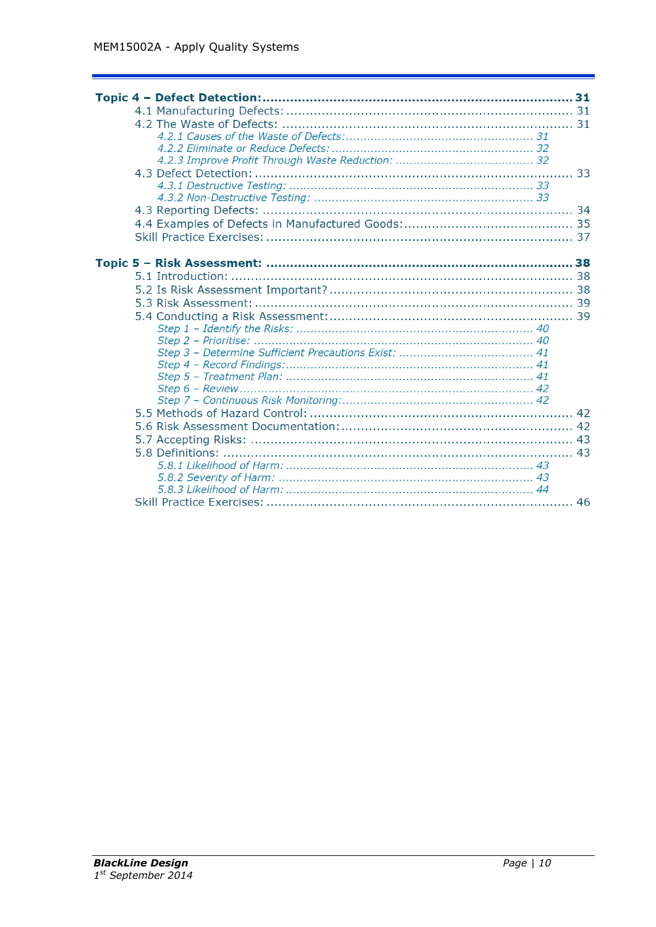| 31 |
|----|
|    |
|    |
|    |
|    |
|    |
|    |
|    |
|    |
|    |
|    |
|    |
|    |
|    |
|    |
|    |
|    |
|    |
|    |
|    |
|    |
|    |
|    |
|    |
|    |
|    |
|    |
|    |
|    |
|    |
|    |
|    |
|    |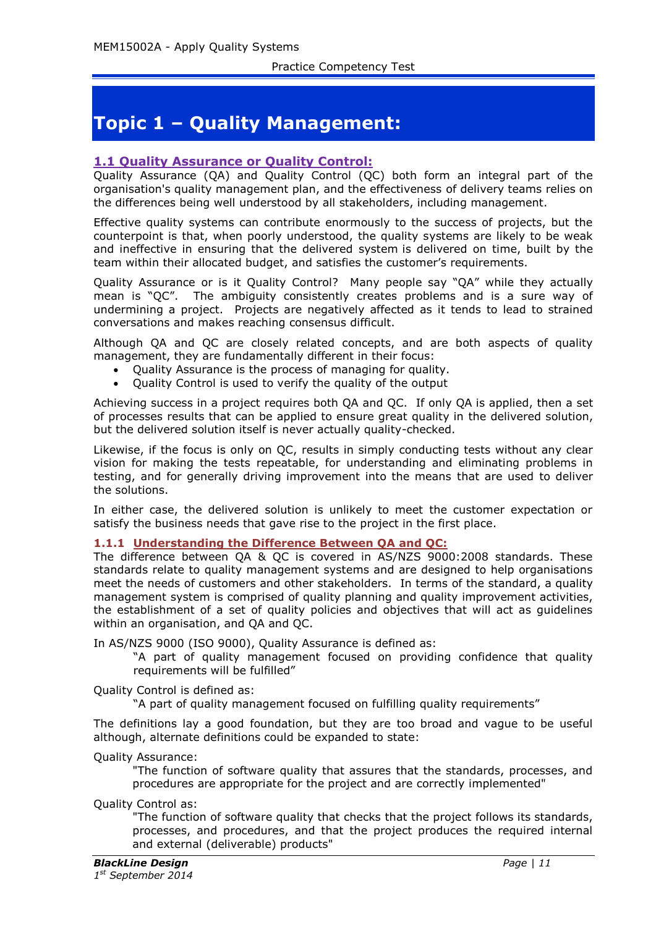# **Topic 1 – Quality Management:**

## **1.1 Quality Assurance or Quality Control:**

Quality Assurance (QA) and Quality Control (QC) both form an integral part of the organisation's quality management plan, and the effectiveness of delivery teams relies on the differences being well understood by all stakeholders, including management.

Effective quality systems can contribute enormously to the success of projects, but the counterpoint is that, when poorly understood, the quality systems are likely to be weak and ineffective in ensuring that the delivered system is delivered on time, built by the team within their allocated budget, and satisfies the customer's requirements.

Quality Assurance or is it Quality Control? Many people say "QA" while they actually mean is "QC". The ambiguity consistently creates problems and is a sure way of undermining a project. Projects are negatively affected as it tends to lead to strained conversations and makes reaching consensus difficult.

Although QA and QC are closely related concepts, and are both aspects of quality management, they are fundamentally different in their focus:

- Quality Assurance is the process of managing for quality.
- Quality Control is used to verify the quality of the output

Achieving success in a project requires both QA and QC. If only QA is applied, then a set of processes results that can be applied to ensure great quality in the delivered solution, but the delivered solution itself is never actually quality-checked.

Likewise, if the focus is only on QC, results in simply conducting tests without any clear vision for making the tests repeatable, for understanding and eliminating problems in testing, and for generally driving improvement into the means that are used to deliver the solutions.

In either case, the delivered solution is unlikely to meet the customer expectation or satisfy the business needs that gave rise to the project in the first place.

#### **1.1.1 Understanding the Difference Between QA and QC:**

The difference between QA & QC is covered in AS/NZS 9000:2008 standards. These standards relate to quality management systems and are designed to help organisations meet the needs of customers and other stakeholders. In terms of the standard, a quality management system is comprised of quality planning and quality improvement activities, the establishment of a set of quality policies and objectives that will act as guidelines within an organisation, and OA and OC.

In AS/NZS 9000 (ISO 9000), Quality Assurance is defined as:

"A part of quality management focused on providing confidence that quality requirements will be fulfilled"

Quality Control is defined as:

"A part of quality management focused on fulfilling quality requirements"

The definitions lay a good foundation, but they are too broad and vague to be useful although, alternate definitions could be expanded to state:

Quality Assurance:

"The function of software quality that assures that the standards, processes, and procedures are appropriate for the project and are correctly implemented"

Quality Control as:

"The function of software quality that checks that the project follows its standards, processes, and procedures, and that the project produces the required internal and external (deliverable) products"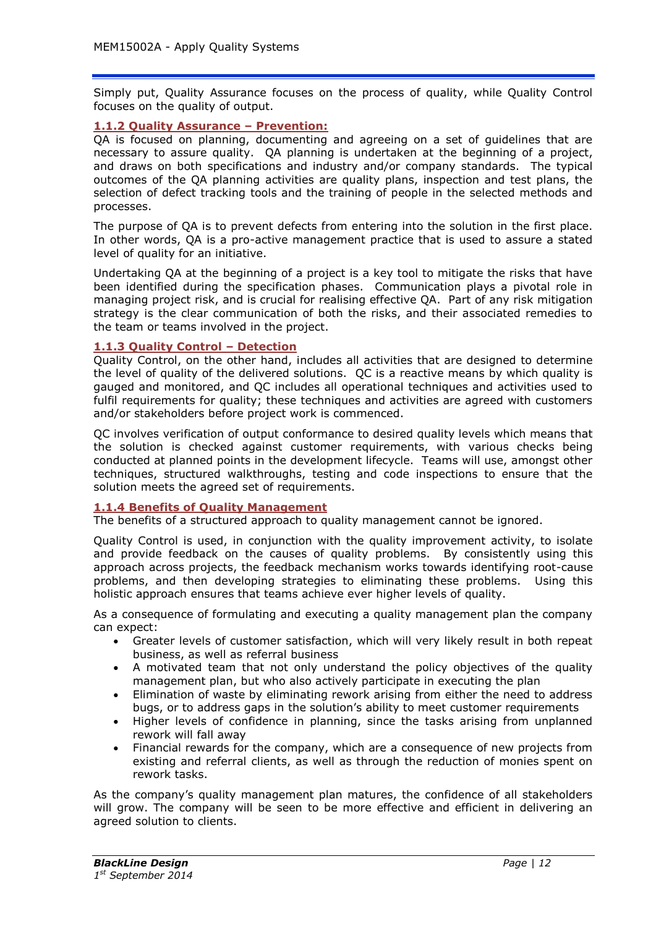Simply put, Quality Assurance focuses on the process of quality, while Quality Control focuses on the quality of output.

## **1.1.2 Quality Assurance – Prevention:**

QA is focused on planning, documenting and agreeing on a set of guidelines that are necessary to assure quality. QA planning is undertaken at the beginning of a project, and draws on both specifications and industry and/or company standards. The typical outcomes of the QA planning activities are quality plans, inspection and test plans, the selection of defect tracking tools and the training of people in the selected methods and processes.

The purpose of QA is to prevent defects from entering into the solution in the first place. In other words, QA is a pro-active management practice that is used to assure a stated level of quality for an initiative.

Undertaking QA at the beginning of a project is a key tool to mitigate the risks that have been identified during the specification phases. Communication plays a pivotal role in managing project risk, and is crucial for realising effective QA. Part of any risk mitigation strategy is the clear communication of both the risks, and their associated remedies to the team or teams involved in the project.

#### **1.1.3 Quality Control – Detection**

Quality Control, on the other hand, includes all activities that are designed to determine the level of quality of the delivered solutions. QC is a reactive means by which quality is gauged and monitored, and QC includes all operational techniques and activities used to fulfil requirements for quality; these techniques and activities are agreed with customers and/or stakeholders before project work is commenced.

QC involves verification of output conformance to desired quality levels which means that the solution is checked against customer requirements, with various checks being conducted at planned points in the development lifecycle. Teams will use, amongst other techniques, structured walkthroughs, testing and code inspections to ensure that the solution meets the agreed set of requirements.

#### **1.1.4 Benefits of Quality Management**

The benefits of a structured approach to quality management cannot be ignored.

Quality Control is used, in conjunction with the quality improvement activity, to isolate and provide feedback on the causes of quality problems. By consistently using this approach across projects, the feedback mechanism works towards identifying root-cause problems, and then developing strategies to eliminating these problems. Using this holistic approach ensures that teams achieve ever higher levels of quality.

As a consequence of formulating and executing a quality management plan the company can expect:

- Greater levels of customer satisfaction, which will very likely result in both repeat business, as well as referral business
- A motivated team that not only understand the policy objectives of the quality management plan, but who also actively participate in executing the plan
- Elimination of waste by eliminating rework arising from either the need to address bugs, or to address gaps in the solution's ability to meet customer requirements
- Higher levels of confidence in planning, since the tasks arising from unplanned rework will fall away
- Financial rewards for the company, which are a consequence of new projects from existing and referral clients, as well as through the reduction of monies spent on rework tasks.

As the company's quality management plan matures, the confidence of all stakeholders will grow. The company will be seen to be more effective and efficient in delivering an agreed solution to clients.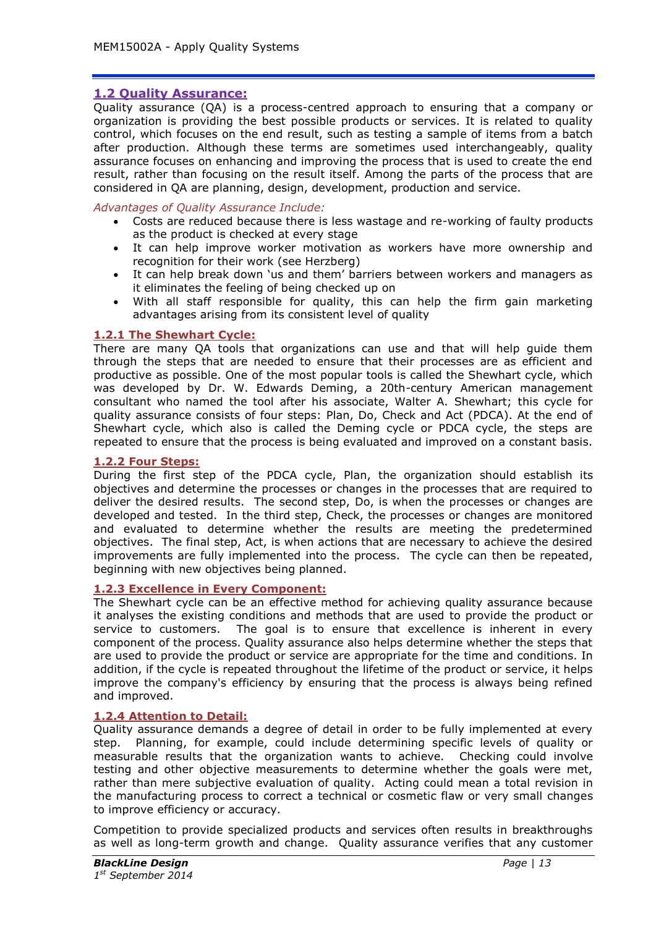# **1.2 Quality Assurance:**

Quality assurance (QA) is a process-centred approach to ensuring that a company or organization is providing the best possible products or services. It is related to quality control, which focuses on the end result, such as testing a sample of items from a batch after production. Although these terms are sometimes used interchangeably, quality assurance focuses on enhancing and improving the process that is used to create the end result, rather than focusing on the result itself. Among the parts of the process that are considered in QA are planning, design, development, production and service.

## *Advantages of Quality Assurance Include:*

- Costs are reduced because there is less wastage and re-working of faulty products as the product is checked at every stage
- It can help improve worker motivation as workers have more ownership and recognition for their work (see Herzberg)
- It can help break down 'us and them' barriers between workers and managers as it eliminates the feeling of being checked up on
- With all staff responsible for quality, this can help the firm gain marketing advantages arising from its consistent level of quality

## **1.2.1 The Shewhart Cycle:**

There are many QA tools that organizations can use and that will help guide them through the steps that are needed to ensure that their processes are as efficient and productive as possible. One of the most popular tools is called the Shewhart cycle, which was developed by Dr. W. Edwards Deming, a 20th-century American management consultant who named the tool after his associate, Walter A. Shewhart; this cycle for quality assurance consists of four steps: Plan, Do, Check and Act (PDCA). At the end of Shewhart cycle, which also is called the Deming cycle or PDCA cycle, the steps are repeated to ensure that the process is being evaluated and improved on a constant basis.

#### **1.2.2 Four Steps:**

During the first step of the PDCA cycle, Plan, the organization should establish its objectives and determine the processes or changes in the processes that are required to deliver the desired results. The second step, Do, is when the processes or changes are developed and tested. In the third step, Check, the processes or changes are monitored and evaluated to determine whether the results are meeting the predetermined objectives. The final step, Act, is when actions that are necessary to achieve the desired improvements are fully implemented into the process. The cycle can then be repeated, beginning with new objectives being planned.

## **1.2.3 Excellence in Every Component:**

The Shewhart cycle can be an effective method for achieving quality assurance because it analyses the existing conditions and methods that are used to provide the product or service to customers. The goal is to ensure that excellence is inherent in every component of the process. Quality assurance also helps determine whether the steps that are used to provide the product or service are appropriate for the time and conditions. In addition, if the cycle is repeated throughout the lifetime of the product or service, it helps improve the company's efficiency by ensuring that the process is always being refined and improved.

## **1.2.4 Attention to Detail:**

Quality assurance demands a degree of detail in order to be fully implemented at every step. Planning, for example, could include determining specific levels of quality or measurable results that the organization wants to achieve. Checking could involve testing and other objective measurements to determine whether the goals were met, rather than mere subjective evaluation of quality. Acting could mean a total revision in the manufacturing process to correct a technical or cosmetic flaw or very small changes to improve efficiency or accuracy.

Competition to provide specialized products and services often results in breakthroughs as well as long-term growth and change. Quality assurance verifies that any customer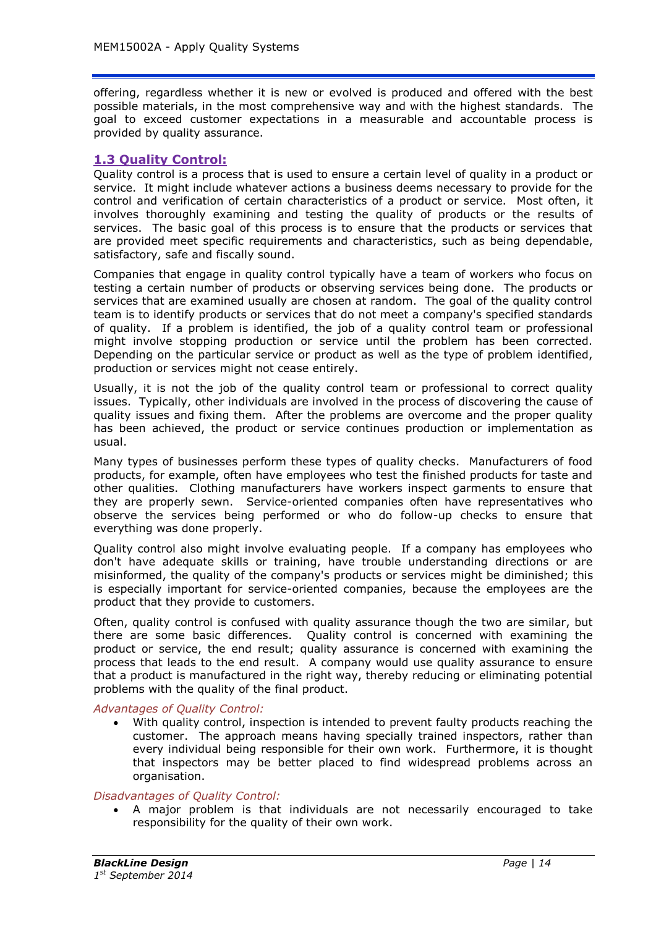offering, regardless whether it is new or evolved is produced and offered with the best possible materials, in the most comprehensive way and with the highest standards. The goal to exceed customer expectations in a measurable and accountable process is provided by quality assurance.

## **1.3 Quality Control:**

Quality control is a process that is used to ensure a certain level of quality in a product or service. It might include whatever actions a business deems necessary to provide for the control and verification of certain characteristics of a product or service. Most often, it involves thoroughly examining and testing the quality of products or the results of services. The basic goal of this process is to ensure that the products or services that are provided meet specific requirements and characteristics, such as being dependable, satisfactory, safe and fiscally sound.

Companies that engage in quality control typically have a team of workers who focus on testing a certain number of products or observing services being done. The products or services that are examined usually are chosen at random. The goal of the quality control team is to identify products or services that do not meet a company's specified standards of quality. If a problem is identified, the job of a quality control team or professional might involve stopping production or service until the problem has been corrected. Depending on the particular service or product as well as the type of problem identified, production or services might not cease entirely.

Usually, it is not the job of the quality control team or professional to correct quality issues. Typically, other individuals are involved in the process of discovering the cause of quality issues and fixing them. After the problems are overcome and the proper quality has been achieved, the product or service continues production or implementation as usual.

Many types of businesses perform these types of quality checks. Manufacturers of food products, for example, often have employees who test the finished products for taste and other qualities. Clothing manufacturers have workers inspect garments to ensure that they are properly sewn. Service-oriented companies often have representatives who observe the services being performed or who do follow-up checks to ensure that everything was done properly.

Quality control also might involve evaluating people. If a company has employees who don't have adequate skills or training, have trouble understanding directions or are misinformed, the quality of the company's products or services might be diminished; this is especially important for service-oriented companies, because the employees are the product that they provide to customers.

Often, quality control is confused with quality assurance though the two are similar, but there are some basic differences. Quality control is concerned with examining the product or service, the end result; quality assurance is concerned with examining the process that leads to the end result. A company would use quality assurance to ensure that a product is manufactured in the right way, thereby reducing or eliminating potential problems with the quality of the final product.

*Advantages of Quality Control:*

 With quality control, inspection is intended to prevent faulty products reaching the customer. The approach means having specially trained inspectors, rather than every individual being responsible for their own work. Furthermore, it is thought that inspectors may be better placed to find widespread problems across an organisation.

#### *Disadvantages of Quality Control:*

 A major problem is that individuals are not necessarily encouraged to take responsibility for the quality of their own work.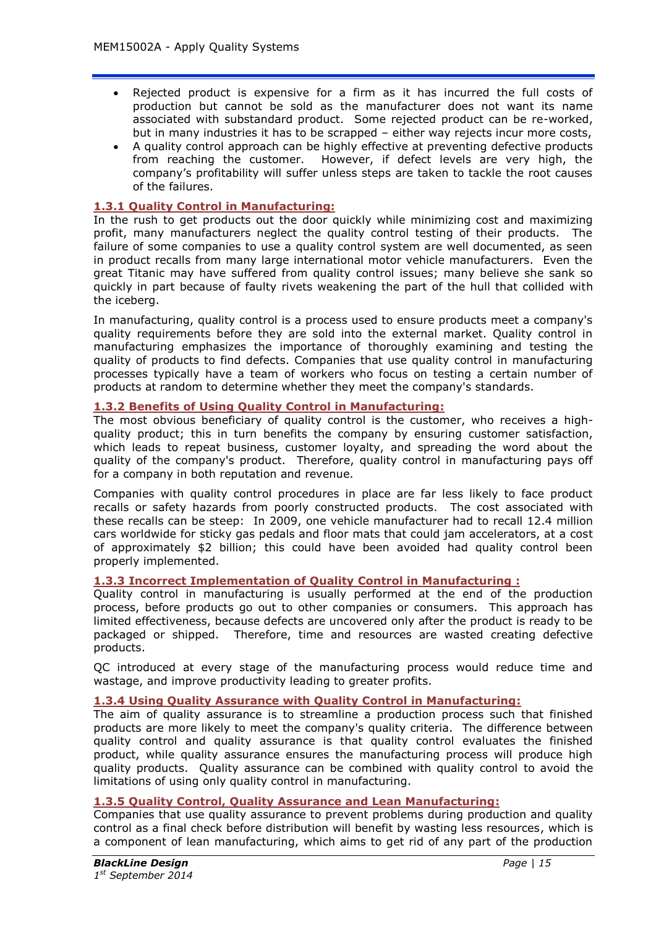- Rejected product is expensive for a firm as it has incurred the full costs of production but cannot be sold as the manufacturer does not want its name associated with substandard product. Some rejected product can be re-worked, but in many industries it has to be scrapped – either way rejects incur more costs,
- A quality control approach can be highly effective at preventing defective products from reaching the customer. However, if defect levels are very high, the company's profitability will suffer unless steps are taken to tackle the root causes of the failures.

# **1.3.1 Quality Control in Manufacturing:**

In the rush to get products out the door quickly while minimizing cost and maximizing profit, many manufacturers neglect the quality control testing of their products. The failure of some companies to use a quality control system are well documented, as seen in product recalls from many large international motor vehicle manufacturers. Even the great Titanic may have suffered from quality control issues; many believe she sank so quickly in part because of faulty rivets weakening the part of the hull that collided with the iceberg.

In manufacturing, quality control is a process used to ensure products meet a company's quality requirements before they are sold into the external market. Quality control in manufacturing emphasizes the importance of thoroughly examining and testing the quality of products to find defects. Companies that use quality control in manufacturing processes typically have a team of workers who focus on testing a certain number of products at random to determine whether they meet the company's standards.

## **1.3.2 Benefits of Using Quality Control in Manufacturing:**

The most obvious beneficiary of quality control is the customer, who receives a highquality product; this in turn benefits the company by ensuring customer satisfaction, which leads to repeat business, customer loyalty, and spreading the word about the quality of the company's product. Therefore, quality control in manufacturing pays off for a company in both reputation and revenue.

Companies with quality control procedures in place are far less likely to face product recalls or safety hazards from poorly constructed products. The cost associated with these recalls can be steep: In 2009, one vehicle manufacturer had to recall 12.4 million cars worldwide for sticky gas pedals and floor mats that could jam accelerators, at a cost of approximately \$2 billion; this could have been avoided had quality control been properly implemented.

## **1.3.3 Incorrect Implementation of Quality Control in Manufacturing :**

Quality control in manufacturing is usually performed at the end of the production process, before products go out to other companies or consumers. This approach has limited effectiveness, because defects are uncovered only after the product is ready to be packaged or shipped. Therefore, time and resources are wasted creating defective products.

QC introduced at every stage of the manufacturing process would reduce time and wastage, and improve productivity leading to greater profits.

## **1.3.4 Using Quality Assurance with Quality Control in Manufacturing:**

The aim of quality assurance is to streamline a production process such that finished products are more likely to meet the company's quality criteria. The difference between quality control and quality assurance is that quality control evaluates the finished product, while quality assurance ensures the manufacturing process will produce high quality products. Quality assurance can be combined with quality control to avoid the limitations of using only quality control in manufacturing.

## **1.3.5 Quality Control, Quality Assurance and Lean Manufacturing:**

Companies that use quality assurance to prevent problems during production and quality control as a final check before distribution will benefit by wasting less resources, which is a component of lean manufacturing, which aims to get rid of any part of the production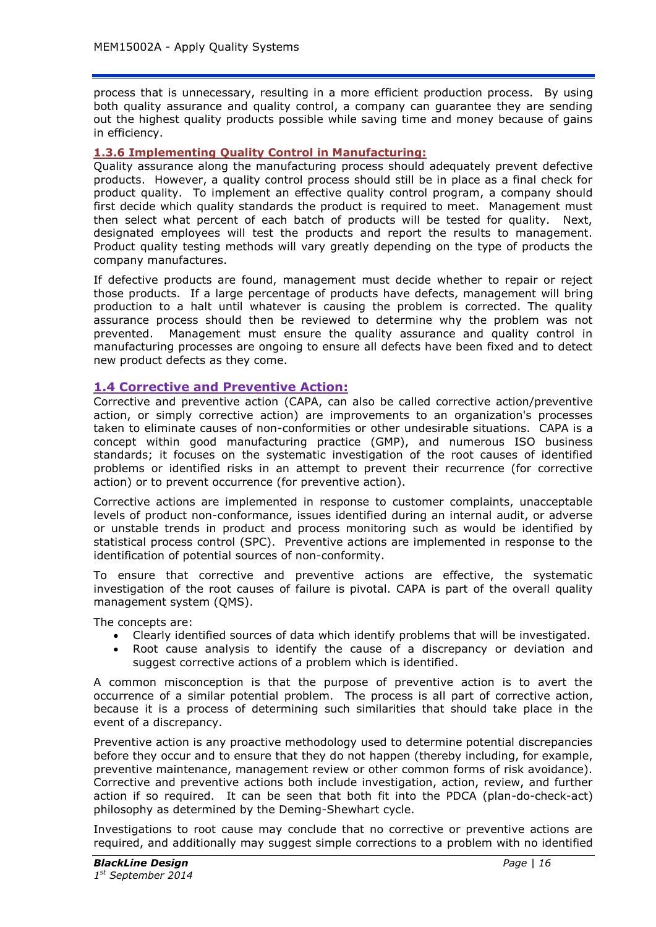process that is unnecessary, resulting in a more efficient production process. By using both quality assurance and quality control, a company can guarantee they are sending out the highest quality products possible while saving time and money because of gains in efficiency.

#### **1.3.6 Implementing Quality Control in Manufacturing:**

Quality assurance along the manufacturing process should adequately prevent defective products. However, a quality control process should still be in place as a final check for product quality. To implement an effective quality control program, a company should first decide which quality standards the product is required to meet. Management must then select what percent of each batch of products will be tested for quality. Next, designated employees will test the products and report the results to management. Product quality testing methods will vary greatly depending on the type of products the company manufactures.

If defective products are found, management must decide whether to repair or reject those products. If a large percentage of products have defects, management will bring production to a halt until whatever is causing the problem is corrected. The quality assurance process should then be reviewed to determine why the problem was not prevented. Management must ensure the quality assurance and quality control in manufacturing processes are ongoing to ensure all defects have been fixed and to detect new product defects as they come.

#### **1.4 Corrective and Preventive Action:**

Corrective and preventive action (CAPA, can also be called corrective action/preventive action, or simply corrective action) are improvements to an organization's processes taken to eliminate causes of non-conformities or other undesirable situations. CAPA is a concept within good manufacturing practice (GMP), and numerous ISO business standards; it focuses on the systematic investigation of the root causes of identified problems or identified risks in an attempt to prevent their recurrence (for corrective action) or to prevent occurrence (for preventive action).

Corrective actions are implemented in response to customer complaints, unacceptable levels of product non-conformance, issues identified during an internal audit, or adverse or unstable trends in product and process monitoring such as would be identified by statistical process control (SPC). Preventive actions are implemented in response to the identification of potential sources of non-conformity.

To ensure that corrective and preventive actions are effective, the systematic investigation of the root causes of failure is pivotal. CAPA is part of the overall quality management system (QMS).

The concepts are:

- Clearly identified sources of data which identify problems that will be investigated.
- Root cause analysis to identify the cause of a discrepancy or deviation and suggest corrective actions of a problem which is identified.

A common misconception is that the purpose of preventive action is to avert the occurrence of a similar potential problem. The process is all part of corrective action, because it is a process of determining such similarities that should take place in the event of a discrepancy.

Preventive action is any proactive methodology used to determine potential discrepancies before they occur and to ensure that they do not happen (thereby including, for example, preventive maintenance, management review or other common forms of risk avoidance). Corrective and preventive actions both include investigation, action, review, and further action if so required. It can be seen that both fit into the PDCA (plan-do-check-act) philosophy as determined by the Deming-Shewhart cycle.

Investigations to root cause may conclude that no corrective or preventive actions are required, and additionally may suggest simple corrections to a problem with no identified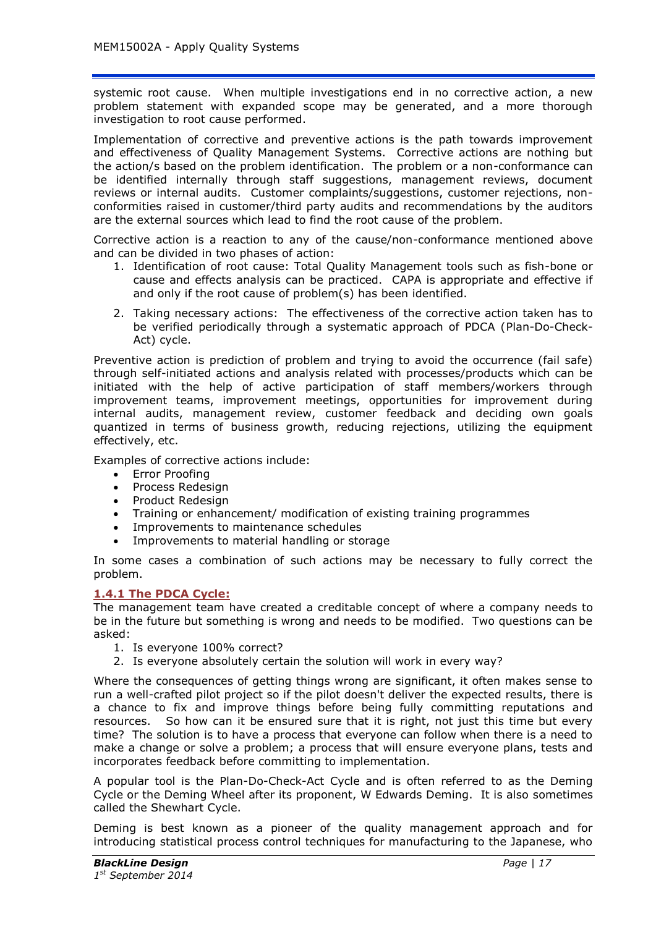systemic root cause. When multiple investigations end in no corrective action, a new problem statement with expanded scope may be generated, and a more thorough investigation to root cause performed.

Implementation of corrective and preventive actions is the path towards improvement and effectiveness of Quality Management Systems. Corrective actions are nothing but the action/s based on the problem identification. The problem or a non-conformance can be identified internally through staff suggestions, management reviews, document reviews or internal audits. Customer complaints/suggestions, customer rejections, nonconformities raised in customer/third party audits and recommendations by the auditors are the external sources which lead to find the root cause of the problem.

Corrective action is a reaction to any of the cause/non-conformance mentioned above and can be divided in two phases of action:

- 1. Identification of root cause: Total Quality Management tools such as fish-bone or cause and effects analysis can be practiced. CAPA is appropriate and effective if and only if the root cause of problem(s) has been identified.
- 2. Taking necessary actions: The effectiveness of the corrective action taken has to be verified periodically through a systematic approach of PDCA (Plan-Do-Check-Act) cycle.

Preventive action is prediction of problem and trying to avoid the occurrence (fail safe) through self-initiated actions and analysis related with processes/products which can be initiated with the help of active participation of staff members/workers through improvement teams, improvement meetings, opportunities for improvement during internal audits, management review, customer feedback and deciding own goals quantized in terms of business growth, reducing rejections, utilizing the equipment effectively, etc.

Examples of corrective actions include:

- Error Proofing
- Process Redesign
- Product Redesign
- Training or enhancement/ modification of existing training programmes
- Improvements to maintenance schedules
- Improvements to material handling or storage

In some cases a combination of such actions may be necessary to fully correct the problem.

## **1.4.1 The PDCA Cycle:**

The management team have created a creditable concept of where a company needs to be in the future but something is wrong and needs to be modified. Two questions can be asked:

- 1. Is everyone 100% correct?
- 2. Is everyone absolutely certain the solution will work in every way?

Where the consequences of getting things wrong are significant, it often makes sense to run a well-crafted pilot project so if the pilot doesn't deliver the expected results, there is a chance to fix and improve things before being fully committing reputations and resources. So how can it be ensured sure that it is right, not just this time but every time? The solution is to have a process that everyone can follow when there is a need to make a change or solve a problem; a process that will ensure everyone plans, tests and incorporates feedback before committing to implementation.

A popular tool is the Plan-Do-Check-Act Cycle and is often referred to as the Deming Cycle or the Deming Wheel after its proponent, W Edwards Deming. It is also sometimes called the Shewhart Cycle.

Deming is best known as a pioneer of the quality management approach and for introducing statistical process control techniques for manufacturing to the Japanese, who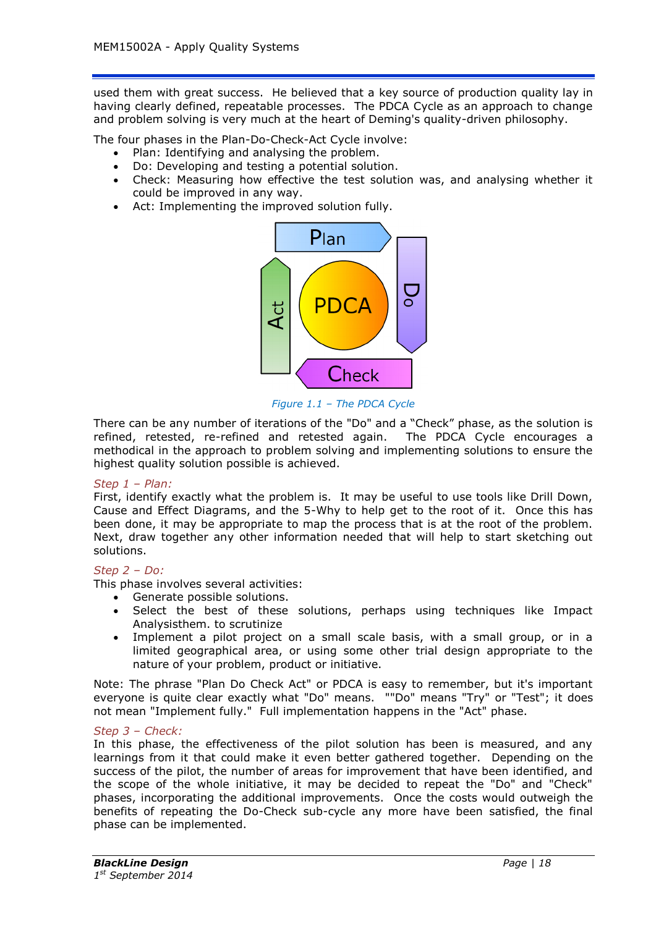used them with great success. He believed that a key source of production quality lay in having clearly defined, repeatable processes. The PDCA Cycle as an approach to change and problem solving is very much at the heart of Deming's quality-driven philosophy.

The four phases in the Plan-Do-Check-Act Cycle involve:

- Plan: Identifying and analysing the problem.
- Do: Developing and testing a potential solution.
- Check: Measuring how effective the test solution was, and analysing whether it could be improved in any way.
- Act: Implementing the improved solution fully.



*Figure 1.1 – The PDCA Cycle*

There can be any number of iterations of the "Do" and a "Check" phase, as the solution is refined, retested, re-refined and retested again. The PDCA Cycle encourages a methodical in the approach to problem solving and implementing solutions to ensure the highest quality solution possible is achieved.

#### *Step 1 – Plan:*

First, identify exactly what the problem is. It may be useful to use tools like Drill Down, Cause and Effect Diagrams, and the 5-Why to help get to the root of it. Once this has been done, it may be appropriate to map the process that is at the root of the problem. Next, draw together any other information needed that will help to start sketching out solutions.

#### *Step 2 – Do:*

This phase involves several activities:

- Generate possible solutions.
- Select the best of these solutions, perhaps using techniques like Impact Analysisthem. to scrutinize
- Implement a pilot project on a small scale basis, with a small group, or in a limited geographical area, or using some other trial design appropriate to the nature of your problem, product or initiative.

Note: The phrase "Plan Do Check Act" or PDCA is easy to remember, but it's important everyone is quite clear exactly what "Do" means. ""Do" means "Try" or "Test"; it does not mean "Implement fully." Full implementation happens in the "Act" phase.

## *Step 3 – Check:*

In this phase, the effectiveness of the pilot solution has been is measured, and any learnings from it that could make it even better gathered together. Depending on the success of the pilot, the number of areas for improvement that have been identified, and the scope of the whole initiative, it may be decided to repeat the "Do" and "Check" phases, incorporating the additional improvements. Once the costs would outweigh the benefits of repeating the Do-Check sub-cycle any more have been satisfied, the final phase can be implemented.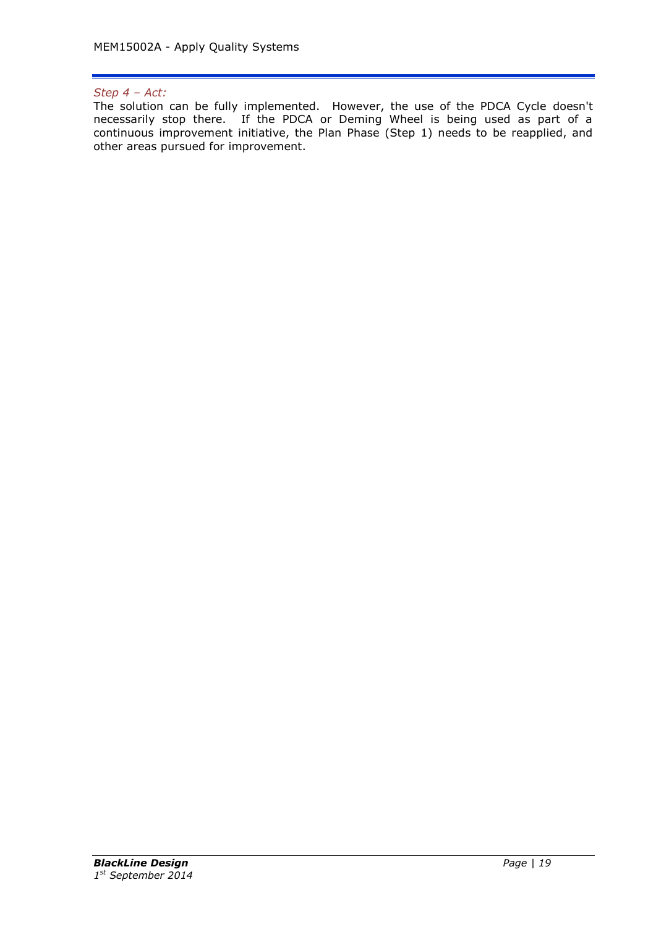## *Step 4 – Act:*

The solution can be fully implemented. However, the use of the PDCA Cycle doesn't necessarily stop there. If the PDCA or Deming Wheel is being used as part of a continuous improvement initiative, the Plan Phase (Step 1) needs to be reapplied, and other areas pursued for improvement.